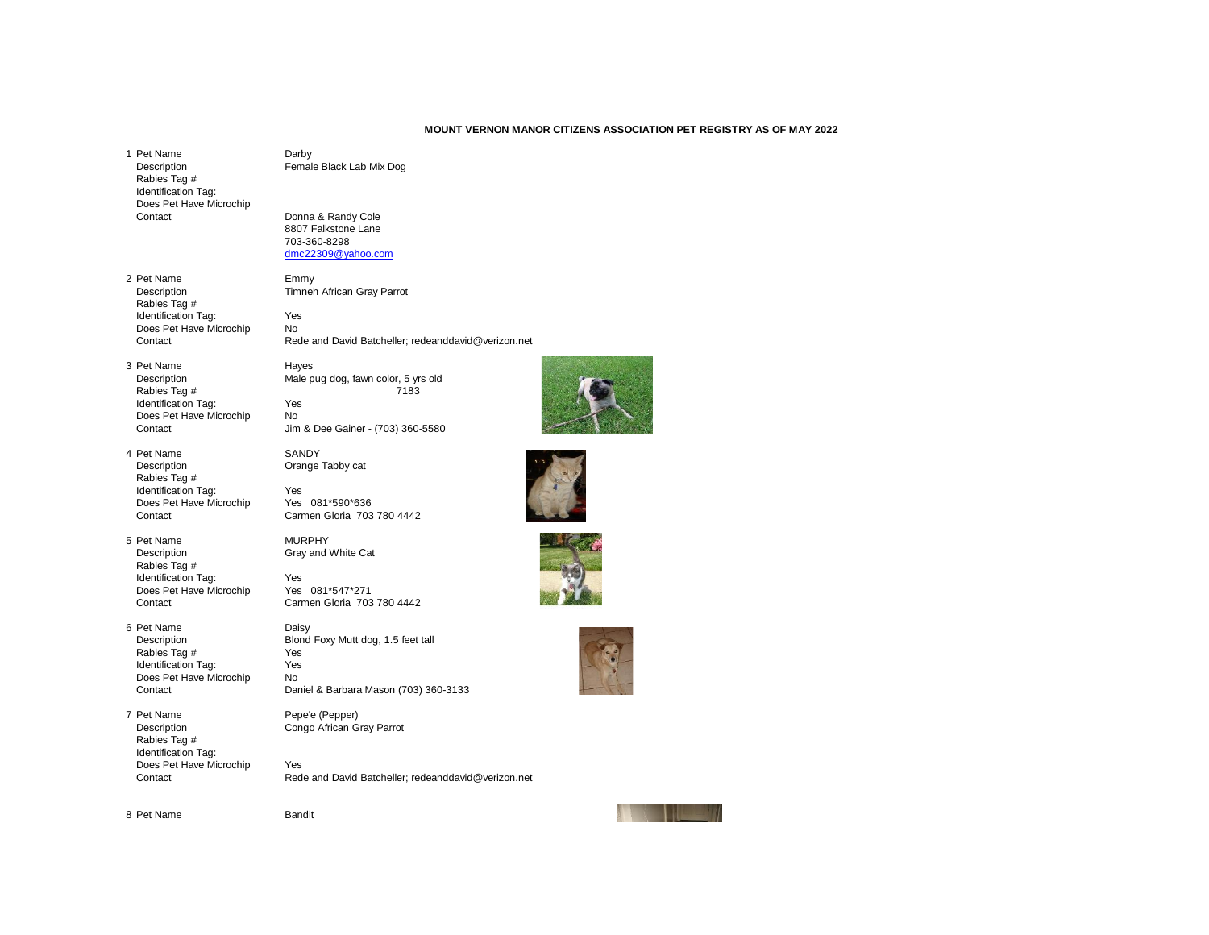## **MOUNT VERNON MANOR CITIZENS ASSOCIATION PET REGISTRY AS OF MAY 2022**

1 Pet Name Darby<br>Description **Darby** Female Rabies Tag # Identification Tag: Does Pet Have Microchip

2 Pet Name Emmy<br>Description Timner Rabies Tag # Identification Tag: Yes<br>
Does Pet Have Microchip No Does Pet Have Microchip<br>Contact

- 3 Pet Name Hayes<br>Description Male p Rabies Tag # Identification Tag: Yes Does Pet Have Microchip No<br>Contact Jim
- 4 Pet Name SANDY<br>Description Crange Rabies Tag # Identification Tag:<br>
Does Pet Have Microchip<br>
Yes 081\*590\*636 Does Pet Have Microchip Contact Carmen Gloria 703 780 4442
- 5 Pet Name MURPHY<br>Description Gray and 1 Rabies Tag # Identification Tag:<br>
Does Pet Have Microchip<br>
Yes 081\*547\*271 Does Pet Have Microchip<br>Contact
- 6 Pet Name Daisy<br>Description Blond Rabies Tag # Yes<br>Identification Tag: Yes Identification Tag: Does Pet Have Microchip No<br>Contact Dar
- 7 Pet Name Pepe'e (Pepper) Description Congo African Gray Parrot Rabies Tag # Identification Tag: Does Pet Have Microchip Yes<br>Contact Red

Female Black Lab Mix Dog

Donna & Randy Cole 8807 Falkstone Lane 703-360-8298 [dmc22309@yahoo.com](mailto:dmc22309@yahoo.com)

Timneh African Gray Parrot

Rede and David Batcheller; redeanddavid@verizon.net

Male pug dog, fawn color, 5 yrs old<br>7183

Jim & Dee Gainer - (703) 360-5580

Orange Tabby cat

Gray and White Cat









Carmen Gloria 703 780 4442

Blond Foxy Mutt dog, 1.5 feet tall<br>Yes

Daniel & Barbara Mason (703) 360-3133

Rede and David Batcheller; redeanddavid@verizon.net



8 Pet Name Bandit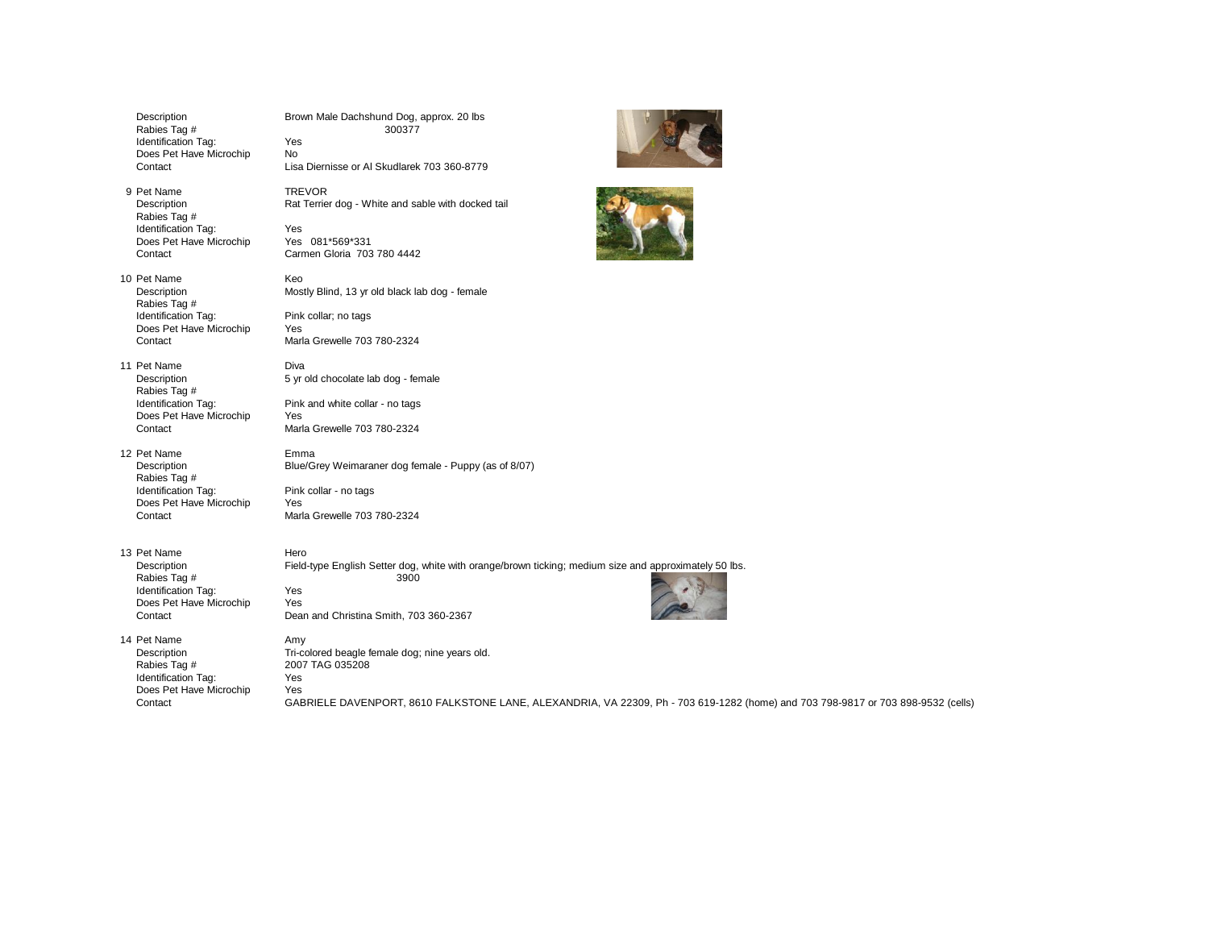| Description<br>Rabies Tag #<br>Identification Tag:<br>Does Pet Have Microchip<br>Contact                | Brown Male Dachshund Dog, approx. 20 lbs<br>300377<br>Yes<br><b>No</b><br>Lisa Diernisse or AI Skudlarek 703 360-8779                                                                                                      |
|---------------------------------------------------------------------------------------------------------|----------------------------------------------------------------------------------------------------------------------------------------------------------------------------------------------------------------------------|
| 9 Pet Name<br>Description<br>Rabies Tag #<br>Identification Tag:<br>Does Pet Have Microchip<br>Contact  | <b>TREVOR</b><br>Rat Terrier dog - White and sable with docked tail<br>Yes<br>Yes 081*569*331<br>Carmen Gloria 703 780 4442                                                                                                |
| 10 Pet Name<br>Description<br>Rabies Tag #<br>Identification Tag:<br>Does Pet Have Microchip<br>Contact | Keo<br>Mostly Blind, 13 yr old black lab dog - female<br>Pink collar; no tags<br><b>Yes</b><br>Marla Grewelle 703 780-2324                                                                                                 |
| 11 Pet Name<br>Description<br>Rabies Tag #<br>Identification Tag:<br>Does Pet Have Microchip<br>Contact | Diva<br>5 yr old chocolate lab dog - female<br>Pink and white collar - no tags<br>Yes<br>Marla Grewelle 703 780-2324                                                                                                       |
| 12 Pet Name<br>Description<br>Rabies Tag #<br>Identification Tag:<br>Does Pet Have Microchip<br>Contact | Emma<br>Blue/Grey Weimaraner dog female - Puppy (as of 8/07)<br>Pink collar - no tags<br>Yes<br>Marla Grewelle 703 780-2324                                                                                                |
| 13 Pet Name<br>Description<br>Rabies Tag #<br>Identification Tag:<br>Does Pet Have Microchip<br>Contact | Hero<br>Field-type English Setter dog, white with orange/brown ticking; medium size and approximately 50 lbs.<br>3900<br>Yes<br>Yes<br>Dean and Christina Smith, 703 360-2367                                              |
| 14 Pet Name<br>Description<br>Rabies Tag #<br>Identification Tag:<br>Does Pet Have Microchip<br>Contact | Amy<br>Tri-colored beagle female dog; nine years old.<br>2007 TAG 035208<br>Yes<br>Yes<br>GABRIELE DAVENPORT, 8610 FALKSTONE LANE, ALEXANDRIA, VA 22309, Ph - 703 619-1282 (home) and 703 798-9817 or 703 898-9532 (cells) |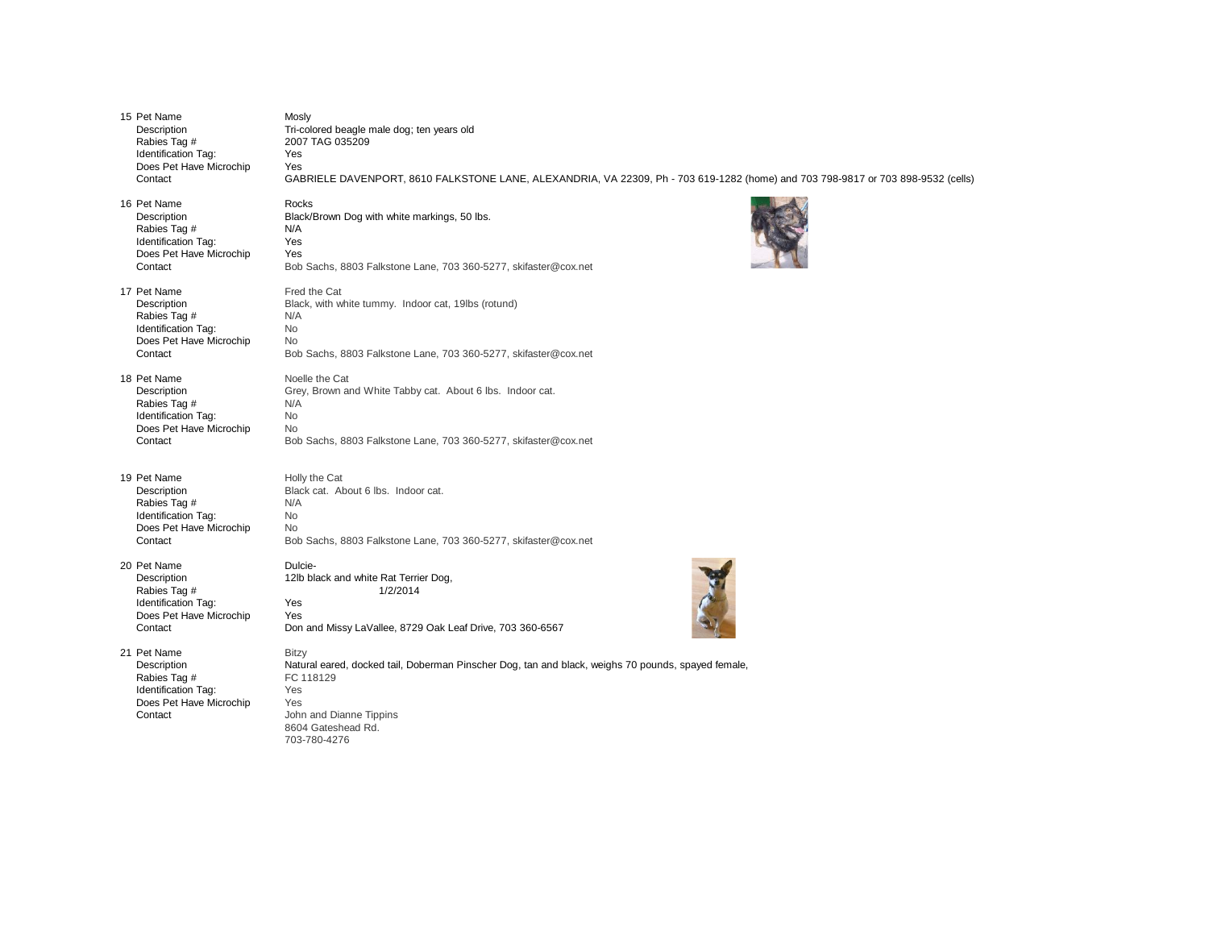| 15 Pet Name                                                                                             | Mosly                                                                                                                                                                                                          |
|---------------------------------------------------------------------------------------------------------|----------------------------------------------------------------------------------------------------------------------------------------------------------------------------------------------------------------|
| Description                                                                                             | Tri-colored beagle male dog; ten years old                                                                                                                                                                     |
| Rabies Tag #                                                                                            | 2007 TAG 035209                                                                                                                                                                                                |
| Identification Tag:                                                                                     | Yes                                                                                                                                                                                                            |
| Does Pet Have Microchip                                                                                 | Yes                                                                                                                                                                                                            |
| Contact                                                                                                 | GABRIELE DAVENPORT, 8610 FALKSTONE LANE, ALEXANDRIA, VA 22309, Ph - 703 619-1282 (home) and 703 798-9817 or 703 898-9532 (cells)                                                                               |
| 16 Pet Name                                                                                             | Rocks                                                                                                                                                                                                          |
| Description                                                                                             | Black/Brown Dog with white markings, 50 lbs.                                                                                                                                                                   |
| Rabies Tag #                                                                                            | N/A                                                                                                                                                                                                            |
| Identification Tag:                                                                                     | Yes                                                                                                                                                                                                            |
| Does Pet Have Microchip                                                                                 | Yes                                                                                                                                                                                                            |
| Contact                                                                                                 | Bob Sachs, 8803 Falkstone Lane, 703 360-5277, skifaster@cox.net                                                                                                                                                |
| 17 Pet Name                                                                                             | Fred the Cat                                                                                                                                                                                                   |
| Description                                                                                             | Black, with white tummy. Indoor cat, 19lbs (rotund)                                                                                                                                                            |
| Rabies Tag #                                                                                            | N/A                                                                                                                                                                                                            |
| Identification Tag:                                                                                     | No                                                                                                                                                                                                             |
| Does Pet Have Microchip                                                                                 | No                                                                                                                                                                                                             |
| Contact                                                                                                 | Bob Sachs, 8803 Falkstone Lane, 703 360-5277, skifaster@cox.net                                                                                                                                                |
| 18 Pet Name                                                                                             | Noelle the Cat                                                                                                                                                                                                 |
| Description                                                                                             | Grey, Brown and White Tabby cat. About 6 lbs. Indoor cat.                                                                                                                                                      |
| Rabies Tag #                                                                                            | N/A                                                                                                                                                                                                            |
| Identification Tag:                                                                                     | No                                                                                                                                                                                                             |
| Does Pet Have Microchip                                                                                 | No                                                                                                                                                                                                             |
| Contact                                                                                                 | Bob Sachs, 8803 Falkstone Lane, 703 360-5277, skifaster@cox.net                                                                                                                                                |
| 19 Pet Name                                                                                             | Holly the Cat                                                                                                                                                                                                  |
| Description                                                                                             | Black cat. About 6 lbs. Indoor cat.                                                                                                                                                                            |
| Rabies Tag #                                                                                            | N/A                                                                                                                                                                                                            |
| Identification Tag:                                                                                     | No                                                                                                                                                                                                             |
| Does Pet Have Microchip                                                                                 | No                                                                                                                                                                                                             |
| Contact                                                                                                 | Bob Sachs, 8803 Falkstone Lane, 703 360-5277, skifaster@cox.net                                                                                                                                                |
| 20 Pet Name                                                                                             | Dulcie-                                                                                                                                                                                                        |
| Description                                                                                             | 12lb black and white Rat Terrier Dog,                                                                                                                                                                          |
| Rabies Tag #                                                                                            | 1/2/2014                                                                                                                                                                                                       |
| Identification Tag:                                                                                     | Yes                                                                                                                                                                                                            |
| Does Pet Have Microchip                                                                                 | Yes                                                                                                                                                                                                            |
| Contact                                                                                                 | Don and Missy LaVallee, 8729 Oak Leaf Drive, 703 360-6567                                                                                                                                                      |
| 21 Pet Name<br>Description<br>Rabies Tag #<br>Identification Tag:<br>Does Pet Have Microchip<br>Contact | <b>Bitzy</b><br>Natural eared, docked tail, Doberman Pinscher Dog, tan and black, weighs 70 pounds, spayed female,<br>FC 118129<br>Yes<br>Yes<br>John and Dianne Tippins<br>8604 Gateshead Rd.<br>703-780-4276 |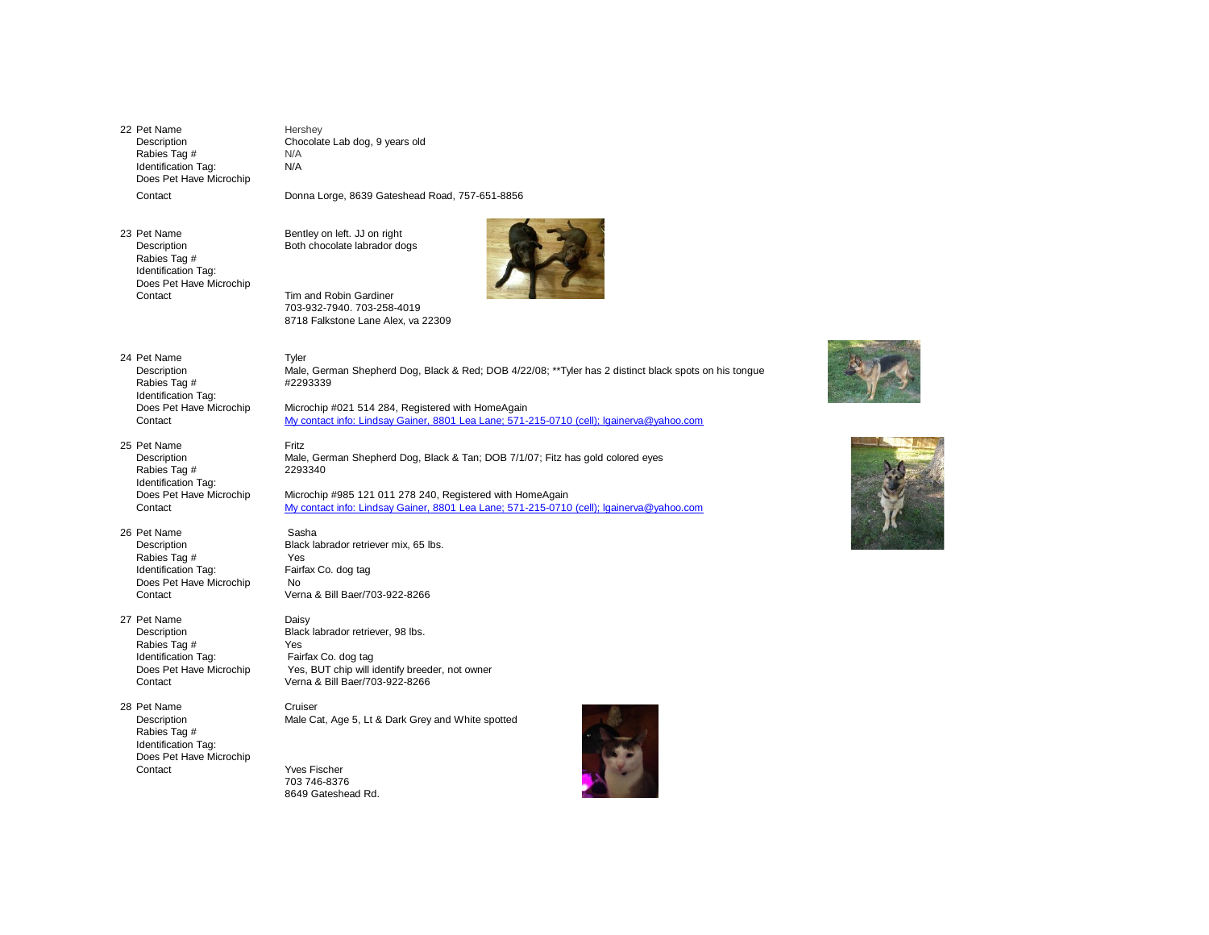22 Pet Name Hershey Description Chocolate Lab dog, 9 years old<br>
Rabies Tag # N/A Rabies Tag  $#$ Identification Tag: N/A Does Pet Have Microchip **Contact** 

 $N/A$ Donna Lorge, 8639 Gateshead Road, 757-651-8856

23 Pet Name Bentley on left. JJ on right Rabies Tag # Identification Tag: Does Pet Have Microchip Contact Tim and Robin Gardiner

Description Both chocolate labrador dogs



703-932-7940. 703-258-4019 8718 Falkstone Lane Alex, va 22309

## 24 Pet Name Tyler Rabies Tag # #2293339 Identification Tag:<br>Does Pet Have Microchip

- 25 Pet Name Fritz Rabies Tag # 2293340 Identification Tag:
- 26 Pet Name Sasha<br>Description Black la Rabies Tag # Yes Identification Tag: Fairfax Co. dog tag Does Pet Have Microchip No
- 27 Pet Name Daisy Rabies Tag # Identification Tag: Fairfax Co. dog tag
- 28 Pet Name Cruiser Rabies Tag # Identification Tag: Does Pet Have Microchip Contact Yves Fischer

Description Male, German Shepherd Dog, Black & Red; DOB 4/22/08; \*\*Tyler has 2 distinct black spots on his tongue

Microchip #021 514 284, Registered with HomeAgain Contact [My contact info: Lindsay Gainer, 8801 Lea Lane; 571-215-0710 \(cell\); lgainerva@yahoo.com](mailto:lgainerva@yahoo.com)

Description Male, German Shepherd Dog, Black & Tan; DOB 7/1/07; Fitz has gold colored eyes

Does Pet Have Microchip Microchip #985 121 011 278 240, Registered with HomeAgain Contact [My contact info: Lindsay Gainer, 8801 Lea Lane; 571-215-0710 \(cell\); lgainerva@yahoo.com](mailto:lgainerva@yahoo.com)

Black labrador retriever mix, 65 lbs. Contact Verna & Bill Baer/703-922-8266

Description Black labrador retriever, 98 lbs.<br>
Rabies Tag # Yes Does Pet Have Microchip Yes, BUT chip will identify breeder, not owner Contact Verna & Bill Baer/703-922-8266

Description Male Cat, Age 5, Lt & Dark Grey and White spotted

703 746-8376 8649 Gateshead Rd.





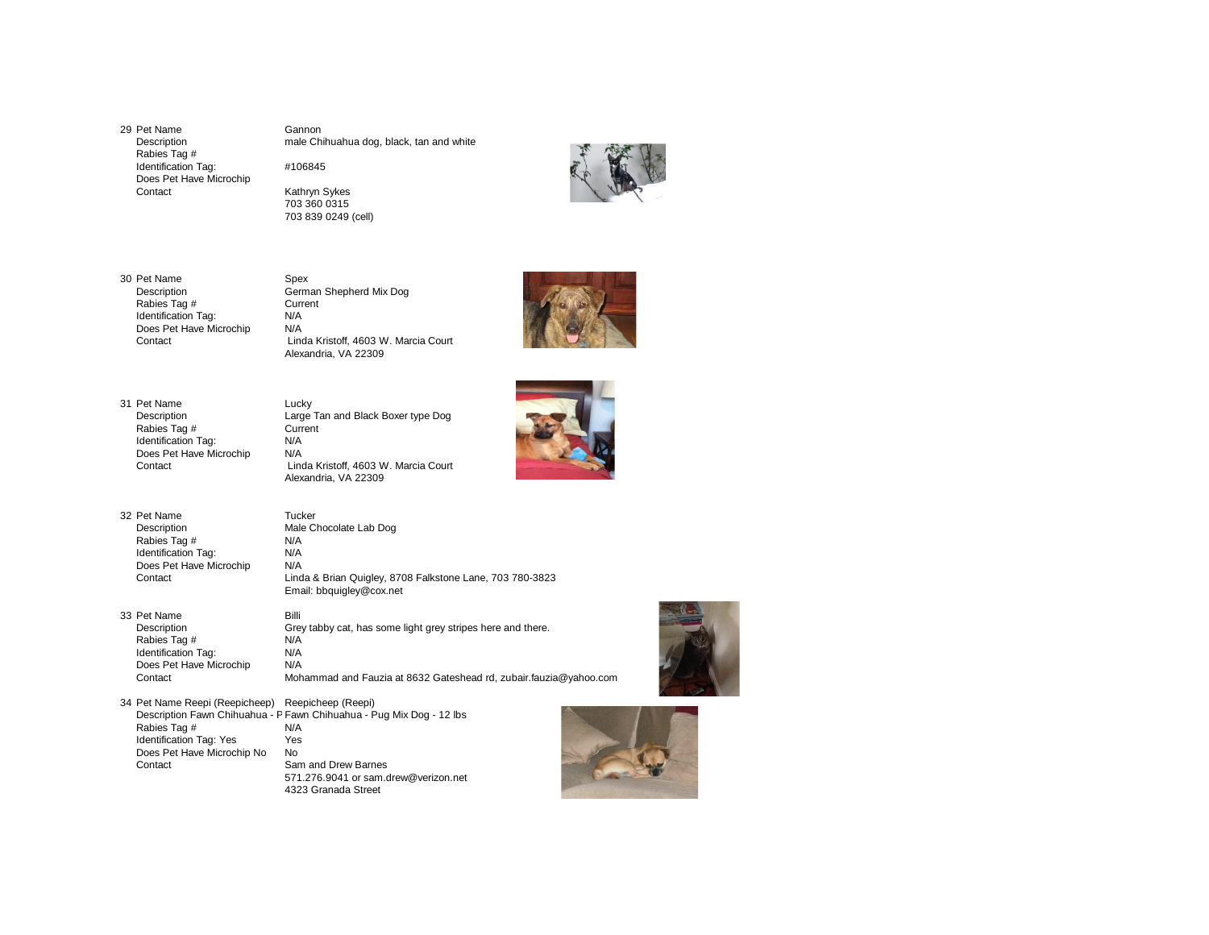29 Pet Name Gannon<br>Description example Chi Rabies Tag # Identification Tag: #106845 Does Pet Have Microchip

male Chihuahua dog, black, tan and white



Kathryn Sykes 703 360 0315 703 839 0249 (cell)



30 Pet Name Spex<br>Description German Rabies Tag # Currentication Tag: N/A Identification Tag: N/A<br>Does Pet Have Microchip N/A Does Pet Have Microchip<br>Contact

German Shepherd Mix Dog<br>Current Linda Kristoff, 4603 W. Marcia Court Alexandria, VA 22309

Large Tan and Black Boxer type Dog<br>Current



- 31 Pet Name Lucky<br>Description Large Rabies Tag # Current<br>
Identification Tag: N/A Identification Tag: N/A<br>Does Pet Have Microchip N/A Does Pet Have Microchip<br>Contact
- 32 Pet Name Tucker<br>Description Male Cl Rabies Tag # N/A<br>Identification Tag: N/A Identification Tag: N/A<br>Does Pet Have Microchip N/A Does Pet Have Microchip<br>Contact

Linda Kristoff, 4603 W. Marcia Court Alexandria, VA 22309 Male Chocolate Lab Dog<br>N/A

Linda & Brian Quigley, 8708 Falkstone Lane, 703 780-3823 Email: bbquigley@cox.net

33 Pet Name Billi<br>Description Gre Rabies Tag # N/A<br>Identification Tag: N/A Identification Tag: N/A<br>Does Pet Have Microchip N/A Does Pet Have Microchip<br>Contact

Grey tabby cat, has some light grey stripes here and there.<br>N/A Mohammad and Fauzia at 8632 Gateshead rd, zubair.fauzia@yahoo.com

34 Pet Name Reepi (Reepicheep) Reepicheep (Reepi) Description Fawn Chihuahua - P Fawn Chihuahua - Pug Mix Dog - 12 lbs Rabies Taq #  $N/A$ Rabies Tag  $#$ Identification Tag: Yes<br>Does Pet Have Microchip No No Does Pet Have Microchip No<br>Contact Sam and Drew Barnes 571.276.9041 or sam.drew@verizon.net 4323 Granada Street